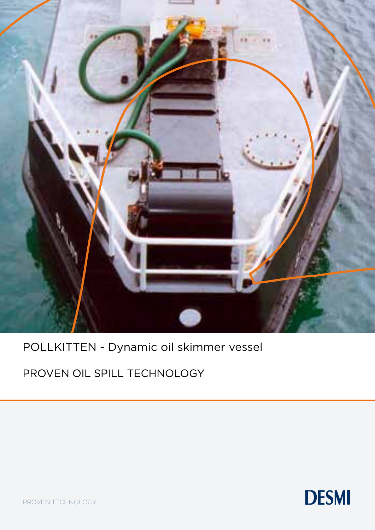

POLLKITTEN - Dynamic oil skimmer vessel

PROVEN OIL SPILL TECHNOLOGY